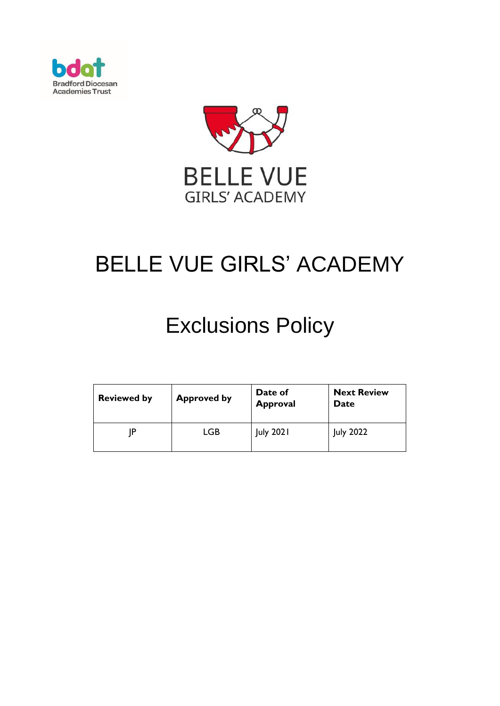



# BELLE VUE GIRLS' ACADEMY

# Exclusions Policy

| <b>Reviewed by</b> | <b>Approved by</b> | Date of<br><b>Approval</b> | <b>Next Review</b><br>Date |
|--------------------|--------------------|----------------------------|----------------------------|
| ΙD                 | LGB                | <b>July 2021</b>           | <b>July 2022</b>           |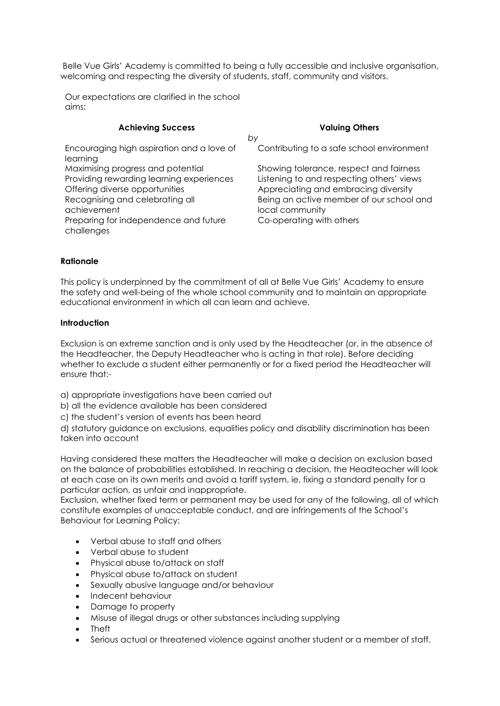Belle Vue Girls' Academy is committed to being a fully accessible and inclusive organisation, welcoming and respecting the diversity of students, staff, community and visitors.

Our expectations are clarified in the school aims:

| <b>Achieving Success</b>                                                                                        | <b>Valuing Others</b>                                                                                                        |
|-----------------------------------------------------------------------------------------------------------------|------------------------------------------------------------------------------------------------------------------------------|
|                                                                                                                 | by                                                                                                                           |
| Encouraging high aspiration and a love of<br>learning                                                           | Contributing to a safe school environment                                                                                    |
| Maximising progress and potential<br>Providing rewarding learning experiences<br>Offering diverse opportunities | Showing tolerance, respect and fairness<br>Listening to and respecting others' views<br>Appreciating and embracing diversity |
| Recognising and celebrating all<br>achievement<br>Preparing for independence and future                         | Being an active member of our school and<br>local community<br>Co-operating with others                                      |
| challenges                                                                                                      |                                                                                                                              |

#### **Rationale**

This policy is underpinned by the commitment of all at Belle Vue Girls' Academy to ensure the safety and well-being of the whole school community and to maintain an appropriate educational environment in which all can learn and achieve.

#### **Introduction**

Exclusion is an extreme sanction and is only used by the Headteacher (or, in the absence of the Headteacher, the Deputy Headteacher who is acting in that role). Before deciding whether to exclude a student either permanently or for a fixed period the Headteacher will ensure that:-

a) appropriate investigations have been carried out

b) all the evidence available has been considered

c) the student's version of events has been heard

d) statutory guidance on exclusions, equalities policy and disability discrimination has been taken into account

Having considered these matters the Headteacher will make a decision on exclusion based on the balance of probabilities established. In reaching a decision, the Headteacher will look at each case on its own merits and avoid a tariff system, ie, fixing a standard penalty for a particular action, as unfair and inappropriate.

Exclusion, whether fixed term or permanent may be used for any of the following, all of which constitute examples of unacceptable conduct, and are infringements of the School's Behaviour for Learning Policy:

- Verbal abuse to staff and others
- Verbal abuse to student
- Physical abuse to/attack on staff
- Physical abuse to/attack on student
- Sexually abusive language and/or behaviour
- Indecent behaviour
- Damage to property
- Misuse of illegal drugs or other substances including supplying
- Theft
- Serious actual or threatened violence against another student or a member of staff.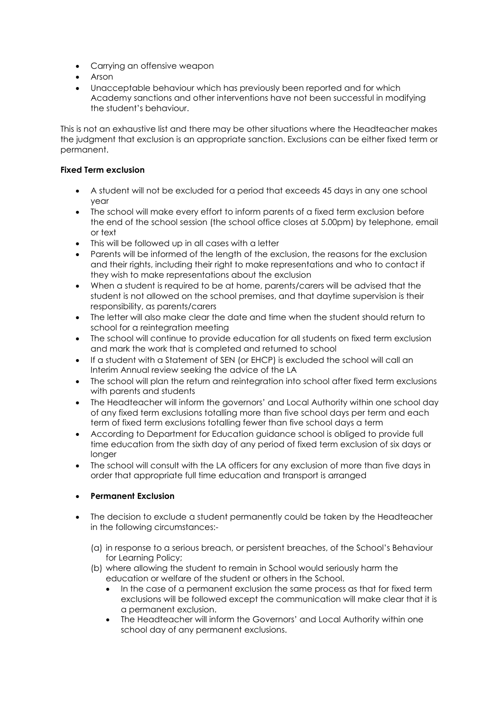- Carrying an offensive weapon
- Arson
- Unacceptable behaviour which has previously been reported and for which Academy sanctions and other interventions have not been successful in modifying the student's behaviour.

This is not an exhaustive list and there may be other situations where the Headteacher makes the judgment that exclusion is an appropriate sanction. Exclusions can be either fixed term or permanent.

## **Fixed Term exclusion**

- A student will not be excluded for a period that exceeds 45 days in any one school year
- The school will make every effort to inform parents of a fixed term exclusion before the end of the school session (the school office closes at 5.00pm) by telephone, email or text
- This will be followed up in all cases with a letter
- Parents will be informed of the length of the exclusion, the reasons for the exclusion and their rights, including their right to make representations and who to contact if they wish to make representations about the exclusion
- When a student is required to be at home, parents/carers will be advised that the student is not allowed on the school premises, and that daytime supervision is their responsibility, as parents/carers
- The letter will also make clear the date and time when the student should return to school for a reintegration meeting
- The school will continue to provide education for all students on fixed term exclusion and mark the work that is completed and returned to school
- If a student with a Statement of SEN (or EHCP) is excluded the school will call an Interim Annual review seeking the advice of the LA
- The school will plan the return and reintegration into school after fixed term exclusions with parents and students
- The Headteacher will inform the governors' and Local Authority within one school day of any fixed term exclusions totalling more than five school days per term and each term of fixed term exclusions totalling fewer than five school days a term
- According to Department for Education guidance school is obliged to provide full time education from the sixth day of any period of fixed term exclusion of six days or longer
- The school will consult with the LA officers for any exclusion of more than five days in order that appropriate full time education and transport is arranged

# **Permanent Exclusion**

- The decision to exclude a student permanently could be taken by the Headteacher in the following circumstances:-
	- (a) in response to a serious breach, or persistent breaches, of the School's Behaviour for Learning Policy;
	- (b) where allowing the student to remain in School would seriously harm the education or welfare of the student or others in the School.
		- In the case of a permanent exclusion the same process as that for fixed term exclusions will be followed except the communication will make clear that it is a permanent exclusion.
		- The Headteacher will inform the Governors' and Local Authority within one school day of any permanent exclusions.